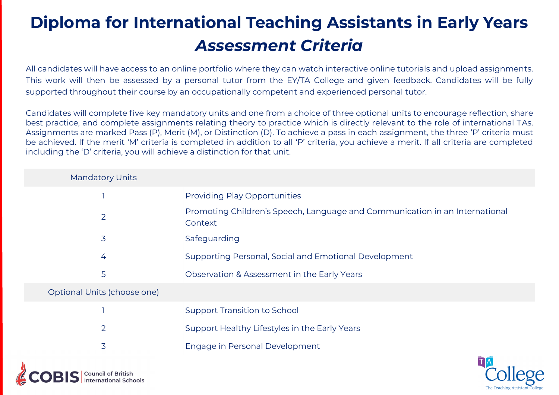# **Diploma for International Teaching Assistants in Early Years** *Assessment Criteria*

All candidates will have access to an online portfolio where they can watch interactive online tutorials and upload assignments. This work will then be assessed by a personal tutor from the EY/TA College and given feedback. Candidates will be fully supported throughout their course by an occupationally competent and experienced personal tutor.

Candidates will complete five key mandatory units and one from a choice of three optional units to encourage reflection, share best practice, and complete assignments relating theory to practice which is directly relevant to the role of international TAs. Assignments are marked Pass (P), Merit (M), or Distinction (D). To achieve a pass in each assignment, the three 'P' criteria must be achieved. If the merit 'M' criteria is completed in addition to all 'P' criteria, you achieve a merit. If all criteria are completed including the 'D' criteria, you will achieve a distinction for that unit.

| <b>Mandatory Units</b>      |                                                                                        |
|-----------------------------|----------------------------------------------------------------------------------------|
|                             | <b>Providing Play Opportunities</b>                                                    |
| $\overline{2}$              | Promoting Children's Speech, Language and Communication in an International<br>Context |
| 3                           | Safeguarding                                                                           |
| 4                           | Supporting Personal, Social and Emotional Development                                  |
| 5                           | Observation & Assessment in the Early Years                                            |
| Optional Units (choose one) |                                                                                        |
|                             | <b>Support Transition to School</b>                                                    |
| $\overline{2}$              | Support Healthy Lifestyles in the Early Years                                          |
| 3                           | Engage in Personal Development                                                         |
|                             | TA                                                                                     |

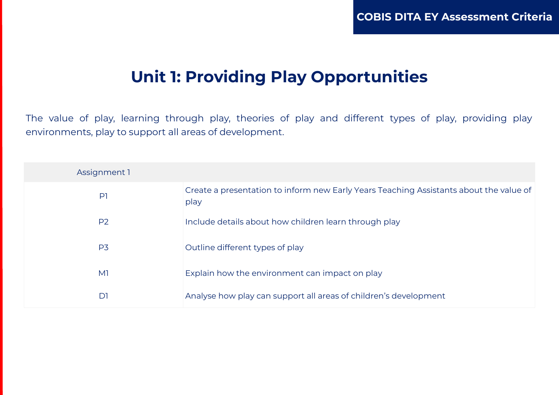### **Unit 1: Providing Play Opportunities**

The value of play, learning through play, theories of play and different types of play, providing play environments, play to support all areas of development.

| Assignment 1   |                                                                                                |
|----------------|------------------------------------------------------------------------------------------------|
| P <sub>1</sub> | Create a presentation to inform new Early Years Teaching Assistants about the value of<br>play |
| P <sub>2</sub> | Include details about how children learn through play                                          |
| P <sub>3</sub> | Outline different types of play                                                                |
| M <sub>1</sub> | Explain how the environment can impact on play                                                 |
| D1             | Analyse how play can support all areas of children's development                               |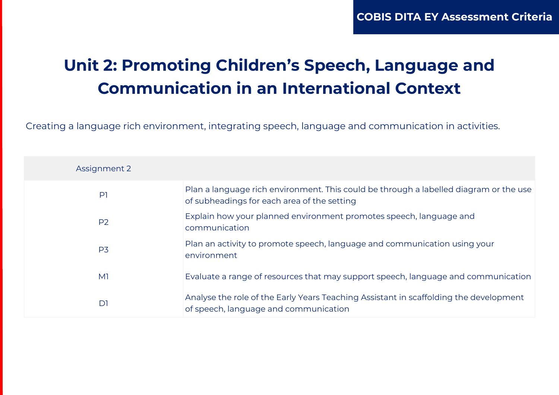## **Unit 2: Promoting Children's Speech, Language and Communication in an International Context**

Creating a language rich environment, integrating speech, language and communication in activities.

| Assignment 2   |                                                                                                                                      |
|----------------|--------------------------------------------------------------------------------------------------------------------------------------|
| P <sub>1</sub> | Plan a language rich environment. This could be through a labelled diagram or the use<br>of subheadings for each area of the setting |
| P <sub>2</sub> | Explain how your planned environment promotes speech, language and<br>communication                                                  |
| P <sub>3</sub> | Plan an activity to promote speech, language and communication using your<br>environment                                             |
| M <sub>1</sub> | Evaluate a range of resources that may support speech, language and communication                                                    |
| D1             | Analyse the role of the Early Years Teaching Assistant in scaffolding the development<br>of speech, language and communication       |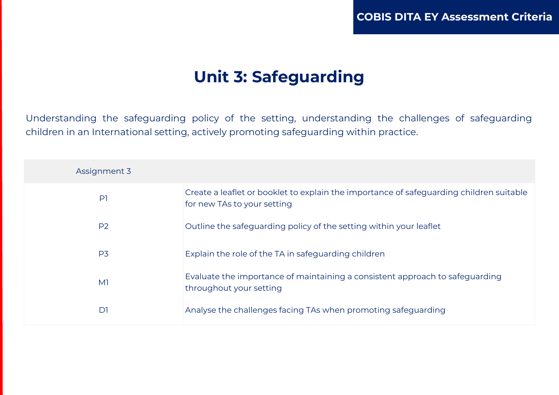### **Unit 3: Safeguarding**

Understanding the safeguarding policy of the setting, understanding the challenges of safeguarding children in an International setting, actively promoting safeguarding within practice.

| Assignment 3   |                                                                                                                        |
|----------------|------------------------------------------------------------------------------------------------------------------------|
| P              | Create a leaflet or booklet to explain the importance of safeguarding children suitable<br>for new TAs to your setting |
| P <sub>2</sub> | Outline the safeguarding policy of the setting within your leaflet                                                     |
| P <sub>3</sub> | Explain the role of the TA in safeguarding children                                                                    |
| M <sup>1</sup> | Evaluate the importance of maintaining a consistent approach to safeguarding<br>throughout your setting                |
| D1             | Analyse the challenges facing TAs when promoting safeguarding                                                          |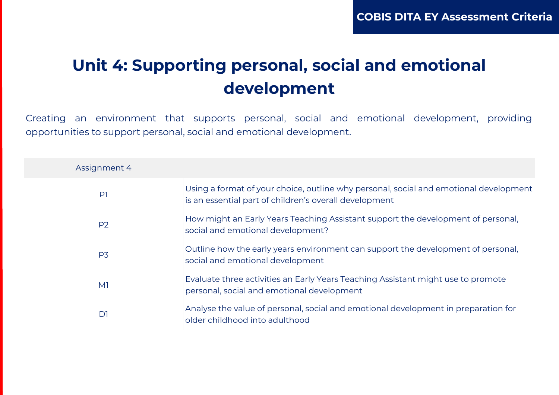### **Unit 4: Supporting personal, social and emotional development**

Creating an environment that supports personal, social and emotional development, providing opportunities to support personal, social and emotional development.

| Assignment 4   |                                                                                                                                                 |
|----------------|-------------------------------------------------------------------------------------------------------------------------------------------------|
| P <sub>1</sub> | Using a format of your choice, outline why personal, social and emotional development<br>is an essential part of children's overall development |
| P <sub>2</sub> | How might an Early Years Teaching Assistant support the development of personal,<br>social and emotional development?                           |
| P <sub>3</sub> | Outline how the early years environment can support the development of personal,<br>social and emotional development                            |
| M <sub>1</sub> | Evaluate three activities an Early Years Teaching Assistant might use to promote<br>personal, social and emotional development                  |
| D <sub>1</sub> | Analyse the value of personal, social and emotional development in preparation for<br>older childhood into adulthood                            |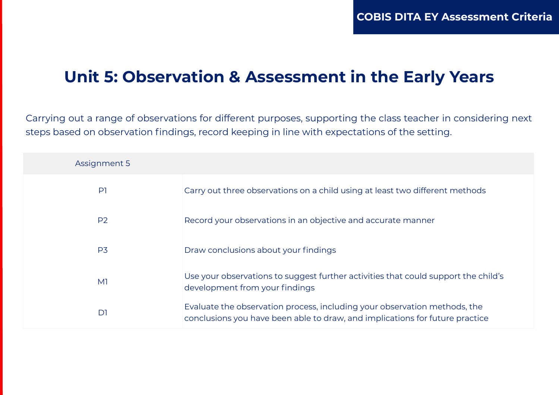#### **Unit 5: Observation & Assessment in the Early Years**

Carrying out a range of observations for different purposes, supporting the class teacher in considering next steps based on observation findings, record keeping in line with expectations of the setting.

| Assignment 5   |                                                                                                                                                           |
|----------------|-----------------------------------------------------------------------------------------------------------------------------------------------------------|
| P <sub>1</sub> | Carry out three observations on a child using at least two different methods                                                                              |
| P <sub>2</sub> | Record your observations in an objective and accurate manner                                                                                              |
| P <sub>3</sub> | Draw conclusions about your findings                                                                                                                      |
| M <sub>1</sub> | Use your observations to suggest further activities that could support the child's<br>development from your findings                                      |
| D <sub>1</sub> | Evaluate the observation process, including your observation methods, the<br>conclusions you have been able to draw, and implications for future practice |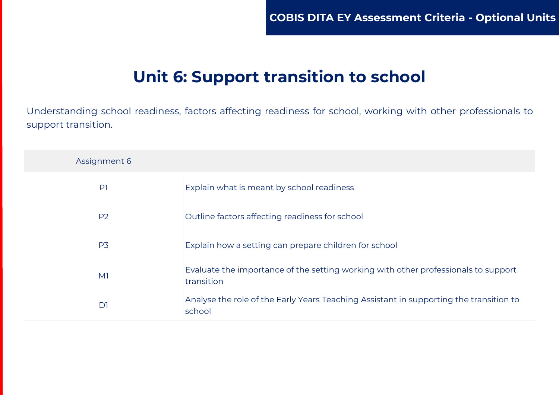### **Unit 6: Support transition to school**

Understanding school readiness, factors affecting readiness for school, working with other professionals to support transition.

| Assignment 6   |                                                                                                  |
|----------------|--------------------------------------------------------------------------------------------------|
| P <sub>1</sub> | Explain what is meant by school readiness                                                        |
| <b>P2</b>      | Outline factors affecting readiness for school                                                   |
| P <sub>3</sub> | Explain how a setting can prepare children for school                                            |
| M <sub>1</sub> | Evaluate the importance of the setting working with other professionals to support<br>transition |
| D <sub>1</sub> | Analyse the role of the Early Years Teaching Assistant in supporting the transition to<br>school |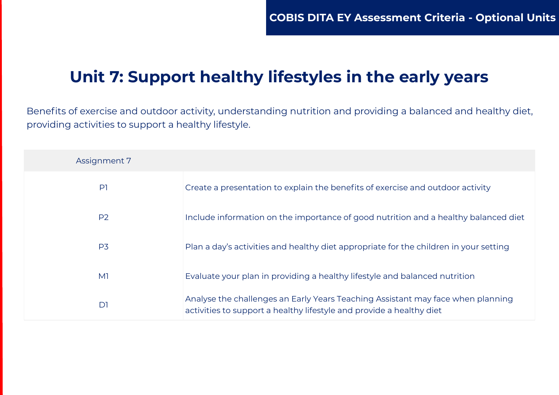### **Unit 7: Support healthy lifestyles in the early years**

Benefits of exercise and outdoor activity, understanding nutrition and providing a balanced and healthy diet, providing activities to support a healthy lifestyle.

| Assignment 7   |                                                                                                                                                         |
|----------------|---------------------------------------------------------------------------------------------------------------------------------------------------------|
| P <sub>1</sub> | Create a presentation to explain the benefits of exercise and outdoor activity                                                                          |
| P <sub>2</sub> | Include information on the importance of good nutrition and a healthy balanced diet                                                                     |
| P <sub>3</sub> | Plan a day's activities and healthy diet appropriate for the children in your setting                                                                   |
| M <sup>1</sup> | Evaluate your plan in providing a healthy lifestyle and balanced nutrition                                                                              |
| D <sub>1</sub> | Analyse the challenges an Early Years Teaching Assistant may face when planning<br>activities to support a healthy lifestyle and provide a healthy diet |